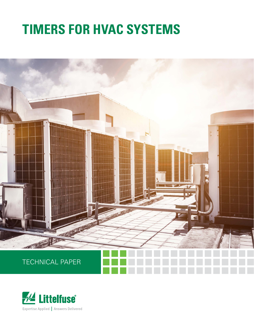# **TIMERS FOR HVAC SYSTEMS**



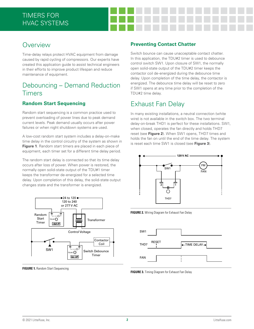### **Overview**

Time-delay relays protect HVAC equipment from damage caused by rapid cycling of compressors. Our experts have created this application guide to assist technical engineers in their efforts to improve product lifespan and reduce maintenance of equipment.

## Debouncing – Demand Reduction **Timers**

#### **Random Start Sequencing**

Random start sequencing is a common practice used to prevent overloading of power lines due to peak demand current levels. Peak demand usually occurs after power failures or when night shutdown systems are used.

A low-cost random start system includes a delay-on-make time delay in the control circuitry of the system as shown in **Figure 1**. Random start timers are placed in each piece of equipment, each timer set for a different time delay period.

The random start delay is connected so that its time delay occurs after loss of power. When power is restored, the normally open solid-state output of the TDU#1 timer keeps the transformer de-energized for a selected time delay. Upon completion of this delay, the solid-state output changes state and the transformer is energized.



**FIGURE 1.** Random Start Sequencing

#### **Preventing Contact Chatter**

Switch bounce can cause unacceptable contact chatter. In this application, the TDU#2 timer is used to debounce control switch SW1. Upon closure of SW1, the normally open solid-state output of the TDU#2 timer keeps the contactor coil de-energized during the debounce time delay. Upon completion of the time delay, the contactor is energized. The debounce time delay will be reset to zero if SW1 opens at any time prior to the completion of the TDU#2 time delay.

## Exhaust Fan Delay

In many existing installations, a neutral connection (white wire) is not available in the switch box. The two terminal delay-on-break THD1 is perfect for these installations. SW1, when closed, operates the fan directly and holds THD7 reset (see **Figure 2**). When SW1 opens, THD7 times and holds the fan on until the end of the time delay. The system is reset each time SW1 is closed (see **Figure 3**).



**FIGURE 2.** Wiring Diagram for Exhaust Fan Delay



**FIGURE 3.** Timing Diagram for Exhaust Fan Delay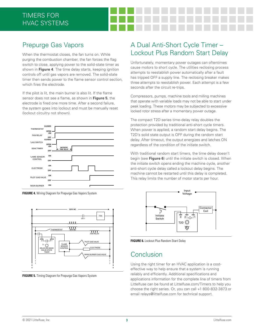# Prepurge Gas Vapors

When the thermostat closes, the fan turns on. While purging the combustion chamber, the fan forces the flag switch to close, applying power to the solid-state timer as shown in **Figure 4**. The time delay starts, keeping ignition controls off until gas vapors are removed. The solid-state timer then sends power to the flame sensor control section, which fires the electrode.

If the pilot is lit, the main burner is also lit. If the flame sensor does not see a flame, as shown in **Figure 5**, the electrode is fired one more time. After a second failure, the system goes into lockout and must be manually reset (lockout circuitry not shown).







**FIGURE 5.** Timing Diagram for Prepurge Gas Vapors System

# A Dual Anti-Short Cycle Timer – Lockout Plus Random Start Delay

Unfortunately, momentary power outages can oftentimes cause motors to short cycle. The utilities reclosing process attempts to reestablish power automatically after a fault has tripped OFF a supply line. The reclosing breaker makes three attempts to reestablish power. Each attempt is a few seconds after the circuit re-trips.

Compressors, pumps, machine tools and milling machines that operate with variable loads may not be able to start under peak loading. These motors may be subjected to excessive locked rotor stress after a momentary power outage.

The compact T2D series time-delay relay doubles the protection provided by traditional anti-short cycle timers. When power is applied, a random start delay begins. The T2D's solid state output is OFF during the random start delay. After timeout, the output energizes and latches ON regardless of the condition of the initiate switch.

With traditional random start timers, the time delay doesn't begin (see **Figure 6**) until the initiate switch is closed. When the initiate switch opens ending the machine cycle, another anti-short cycle delay called a lockout delay begins. The machine cannot be restarted until this delay is completed. This relay limits the number of motor starts per hour.



**FIGURE 6.** Lockout Plus Random Start Delay

## Conclusion

Using the right timer for an HVAC application is a costeffective way to help ensure that a system is running reliably and efficiently. Additional specifications and applications information for the complete line of timers from Littelfuse can be found at Littelfuse.com/Timers to help you choose the right series. Or, you can call +1 800-832-3873 or email relays@littelfuse.com for technical support.